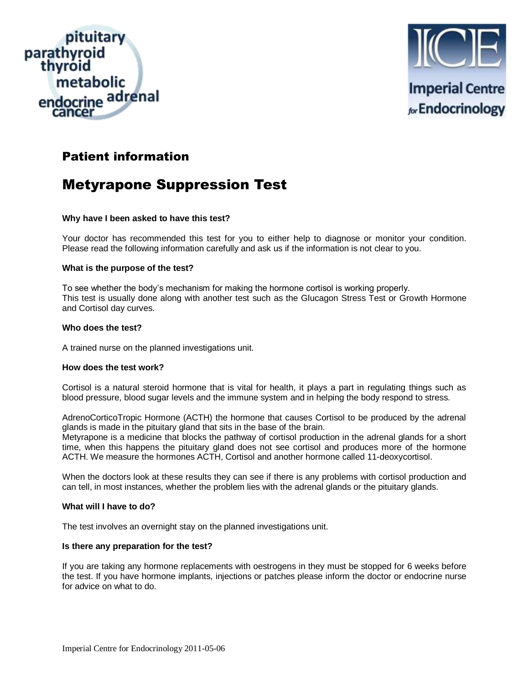



# Patient information

# Metyrapone Suppression Test

# **Why have I been asked to have this test?**

Your doctor has recommended this test for you to either help to diagnose or monitor your condition. Please read the following information carefully and ask us if the information is not clear to you.

# **What is the purpose of the test?**

To see whether the body's mechanism for making the hormone cortisol is working properly. This test is usually done along with another test such as the Glucagon Stress Test or Growth Hormone and Cortisol day curves.

# **Who does the test?**

A trained nurse on the planned investigations unit.

# **How does the test work?**

Cortisol is a natural steroid hormone that is vital for health, it plays a part in regulating things such as blood pressure, blood sugar levels and the immune system and in helping the body respond to stress.

AdrenoCorticoTropic Hormone (ACTH) the hormone that causes Cortisol to be produced by the adrenal glands is made in the pituitary gland that sits in the base of the brain.

Metyrapone is a medicine that blocks the pathway of cortisol production in the adrenal glands for a short time, when this happens the pituitary gland does not see cortisol and produces more of the hormone ACTH. We measure the hormones ACTH, Cortisol and another hormone called 11-deoxycortisol.

When the doctors look at these results they can see if there is any problems with cortisol production and can tell, in most instances, whether the problem lies with the adrenal glands or the pituitary glands.

# **What will I have to do?**

The test involves an overnight stay on the planned investigations unit.

# **Is there any preparation for the test?**

If you are taking any hormone replacements with oestrogens in they must be stopped for 6 weeks before the test. If you have hormone implants, injections or patches please inform the doctor or endocrine nurse for advice on what to do.